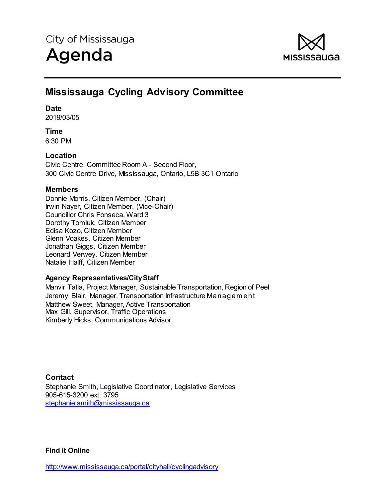

# **Mississauga Cycling Advisory Committee**

### **Date**

2019/03/05

### **Time**

6:30 PM

### **Location**

Civic Centre, Committee Room A - Second Floor, 300 Civic Centre Drive, Mississauga, Ontario, L5B 3C1 Ontario

### **Members**

Donnie Morris, Citizen Member, (Chair) Irwin Nayer, Citizen Member, (Vice-Chair) Councillor Chris Fonseca, Ward 3 Dorothy Tomiuk, Citizen Member Edisa Kozo, Citizen Member Glenn Voakes, Citizen Member Jonathan Giggs, Citizen Member Leonard Verwey, Citizen Member Natalie Halff, Citizen Member

### **Agency Representatives/City Staff**

Manvir Tatla, Project Manager, Sustainable Transportation, Region of Peel Jeremy Blair, Manager, Transportation Infrastructure Managem ent Matthew Sweet, Manager, Active Transportation Max Gill, Supervisor, Traffic Operations Kimberly Hicks, Communications Advisor

**Contact**  Stephanie Smith, Legislative Coordinator, Legislative Services 905-615-3200 ext. 3795 stephanie.smith@mississauga.ca

**Find it Online**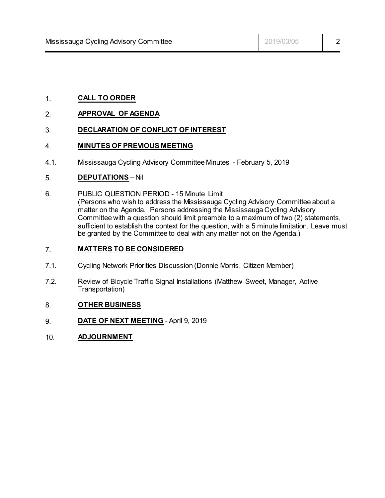### 1. **CALL TO ORDER**

#### 2. **APPROVAL OF AGENDA**

### 3. **DECLARATION OF CONFLICT OF INTEREST**

#### 4. **MINUTES OF PREVIOUS MEETING**

4.1. Mississauga Cycling Advisory Committee Minutes - February 5, 2019

#### 5. **DEPUTATIONS** – Nil

6. PUBLIC QUESTION PERIOD - 15 Minute Limit (Persons who wish to address the Mississauga Cycling Advisory Committee about a matter on the Agenda. Persons addressing the Mississauga Cycling Advisory Committee with a question should limit preamble to a maximum of two (2) statements, sufficient to establish the context for the question, with a 5 minute limitation. Leave must be granted by the Committee to deal with any matter not on the Agenda.)

### 7. **MATTERS TO BE CONSIDERED**

- 7.1. Cycling Network Priorities Discussion (Donnie Morris, Citizen Member)
- 7.2. Review of Bicycle Traffic Signal Installations (Matthew Sweet, Manager, Active Transportation)

#### 8. **OTHER BUSINESS**

- 9. **DATE OF NEXT MEETING** April 9, 2019
- 10. **ADJOURNMENT**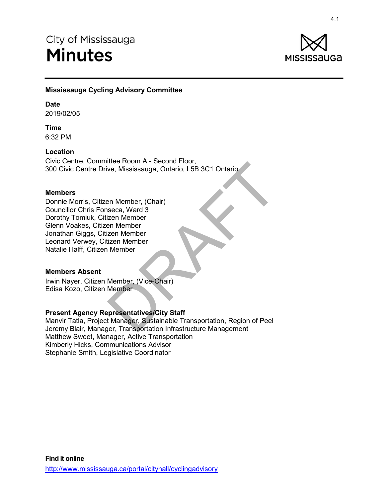

### **Mississauga Cycling Advisory Committee**

#### **Date**

2019/02/05

**Time** 6:32 PM

#### **Location**

Civic Centre, Committee Room A - Second Floor, 300 Civic Centre Drive, Mississauga, Ontario, L5B 3C1 Ontario

#### **Members**

Donnie Morris, Citizen Member, (Chair) Councillor Chris Fonseca, Ward 3 Dorothy Tomiuk, Citizen Member Glenn Voakes, Citizen Member Jonathan Giggs, Citizen Member Leonard Verwey, Citizen Member Natalie Halff, Citizen Member sauga<br> **Sauga Mississauga Mississauga, Ontario**<br>
ittee Room A - Second Floor,<br>
we, Mississauga, Ontario, L5B 3C1 Ontario<br>
eeca, Ward 3<br>
an Member<br>
Member<br>
Member<br>
Member<br>
Member<br>
Member<br>
Member<br>
Member<br>
Presentatives/City

#### **Members Absent**

Irwin Nayer, Citizen Member, (Vice-Chair) Edisa Kozo, Citizen Member

### **Present Agency Representatives/City Staff**

Manvir Tatla, Project Manager, Sustainable Transportation, Region of Peel Jeremy Blair, Manager, Transportation Infrastructure Management Matthew Sweet, Manager, Active Transportation Kimberly Hicks, Communications Advisor Stephanie Smith, Legislative Coordinator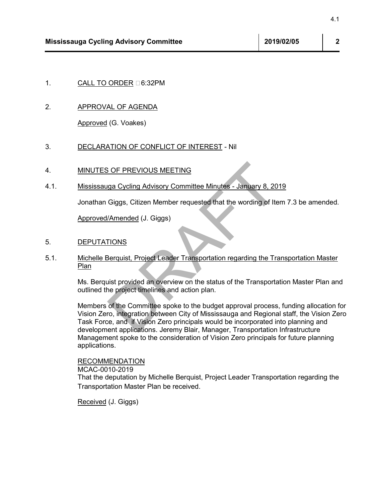### 1. CALL TO ORDER D6:32PM

#### 2. APPROVAL OF AGENDA

Approved (G. Voakes)

#### 3. DECLARATION OF CONFLICT OF INTEREST - Nil

#### 4. MINUTES OF PREVIOUS MEETING

4.1. Mississauga Cycling Advisory Committee Minutes - January 8, 2019

Jonathan Giggs, Citizen Member requested that the wording of Item 7.3 be amended.

Approved/Amended (J. Giggs)

#### 5. DEPUTATIONS

5.1. Michelle Berquist, Project Leader Transportation regarding the Transportation Master Plan

> Ms. Berquist provided an overview on the status of the Transportation Master Plan and outlined the project timelines and action plan.

Members of the Committee spoke to the budget approval process, funding allocation for Vision Zero, integration between City of Mississauga and Regional staff, the Vision Zero Task Force, and if Vision Zero principals would be incorporated into planning and development applications. Jeremy Blair, Manager, Transportation Infrastructure Management spoke to the consideration of Vision Zero principals for future planning applications. 4.1<br>
19 Advisory Committee<br>
2019/02/05<br>
2019/02/05<br>
2019/02/05<br>
2019/02/05<br>
2019/02/05<br>
4.1<br>
4.1<br>
4.1<br>
4.1<br>
4.0 E AGENDA<br>
3.2PM<br>
4.0 E AGENDA<br>
3.0 F PREVIOUS MEETING<br>
5.0 GP PREVIOUS MEETING<br>
5.0 GP PREVIOUS MEETING<br>
5.0 G

#### RECOMMENDATION

MCAC-0010-2019

That the deputation by Michelle Berquist, Project Leader Transportation regarding the Transportation Master Plan be received.

Received (J. Giggs)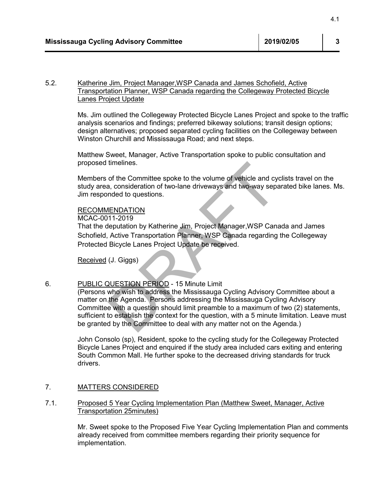#### 5.2. Katherine Jim, Project Manager,WSP Canada and James Schofield, Active Transportation Planner, WSP Canada regarding the Collegeway Protected Bicycle Lanes Project Update

Ms. Jim outlined the Collegeway Protected Bicycle Lanes Project and spoke to the traffic analysis scenarios and findings; preferred bikeway solutions; transit design options; design alternatives; proposed separated cycling facilities on the Collegeway between Winston Churchill and Mississauga Road; and next steps.

Matthew Sweet, Manager, Active Transportation spoke to public consultation and proposed timelines.

Members of the Committee spoke to the volume of vehicle and cyclists travel on the study area, consideration of two-lane driveways and two-way separated bike lanes. Ms. Jim responded to questions.

#### RECOMMENDATION

MCAC-0011-2019

That the deputation by Katherine Jim, Project Manager,WSP Canada and James Schofield, Active Transportation Planner, WSP Canada regarding the Collegeway Protected Bicycle Lanes Project Update be received.

Received (J. Giggs)

#### 6. PUBLIC QUESTION PERIOD - 15 Minute Limit

(Persons who wish to address the Mississauga Cycling Advisory Committee about a matter on the Agenda. Persons addressing the Mississauga Cycling Advisory Committee with a question should limit preamble to a maximum of two (2) statements, sufficient to establish the context for the question, with a 5 minute limitation. Leave must be granted by the Committee to deal with any matter not on the Agenda.) 4.1<br>
19 Advisory Committee<br>
2019/02/05<br>
13<br>
19 Advisory Committee<br>
2019/02/05<br>
13<br>
2019/02/05<br>
2019/02/05<br>
2019/02/05<br>
2019/02/05<br>
2019/02/05<br>
2019/02/05<br>
2019/02/05<br>
2019/02/05<br>
2019/02/05<br>
2019/02/05<br>
2019/02/05<br>
2019/02

John Consolo (sp), Resident, spoke to the cycling study for the Collegeway Protected Bicycle Lanes Project and enquired if the study area included cars exiting and entering South Common Mall. He further spoke to the decreased driving standards for truck drivers.

### 7. MATTERS CONSIDERED

#### 7.1. Proposed 5 Year Cycling Implementation Plan (Matthew Sweet, Manager, Active Transportation 25minutes)

Mr. Sweet spoke to the Proposed Five Year Cycling Implementation Plan and comments already received from committee members regarding their priority sequence for implementation.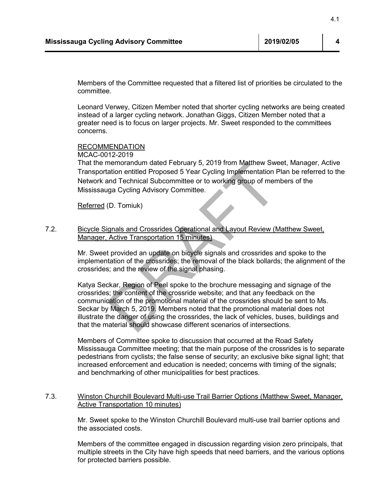Members of the Committee requested that a filtered list of priorities be circulated to the committee.

Leonard Verwey, Citizen Member noted that shorter cycling networks are being created instead of a larger cycling network. Jonathan Giggs, Citizen Member noted that a greater need is to focus on larger projects. Mr. Sweet responded to the committees concerns.

#### **RECOMMENDATION**

#### MCAC-0012-2019

That the memorandum dated February 5, 2019 from Matthew Sweet, Manager, Active Transportation entitled Proposed 5 Year Cycling Implementation Plan be referred to the Network and Technical Subcommittee or to working group of members of the Mississauga Cycling Advisory Committee.

Referred (D. Tomiuk)

#### 7.2. Bicycle Signals and Crossrides Operational and Layout Review (Matthew Sweet, Manager, Active Transportation 15 minutes)

Mr. Sweet provided an update on bicycle signals and crossrides and spoke to the implementation of the crossrides; the removal of the black bollards; the alignment of the crossrides; and the review of the signal phasing.

Katya Seckar, Region of Peel spoke to the brochure messaging and signage of the crossrides; the content of the crossride website; and that any feedback on the communication of the promotional material of the crossrides should be sent to Ms. Seckar by March 5, 2019. Members noted that the promotional material does not illustrate the danger of using the crossrides, the lack of vehicles, buses, buildings and that the material should showcase different scenarios of intersections. 4.1<br>
19 Advisory Committee<br>
2019/02/05<br>
4.1<br>
2019/02/05<br>
4.1<br>
2019/02/05<br>
4.1<br>
2019/02/05<br>
4.1<br>
2019/02/05<br>
4.1<br>
2019/02/05<br>
2019<br>
2019/02/05<br>
2019<br>
2019<br>
2019<br>
2019<br>
2019<br>
2019<br>
2019<br>
2019<br>
2019<br>
2019<br>
2019<br>
2019<br>
2019<br>
2

Members of Committee spoke to discussion that occurred at the Road Safety Mississauga Committee meeting; that the main purpose of the crossrides is to separate pedestrians from cyclists; the false sense of security; an exclusive bike signal light; that increased enforcement and education is needed; concerns with timing of the signals; and benchmarking of other municipalities for best practices.

#### 7.3. Winston Churchill Boulevard Multi-use Trail Barrier Options (Matthew Sweet, Manager, Active Transportation 10 minutes)

Mr. Sweet spoke to the Winston Churchill Boulevard multi-use trail barrier options and the associated costs.

Members of the committee engaged in discussion regarding vision zero principals, that multiple streets in the City have high speeds that need barriers, and the various options for protected barriers possible.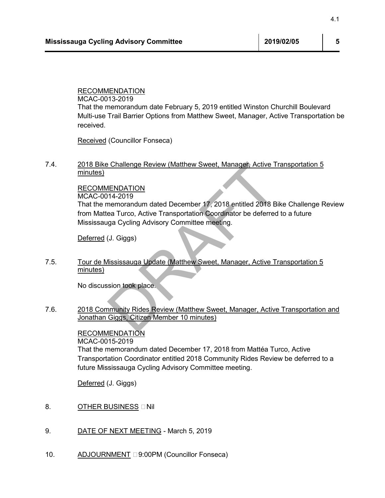### RECOMMENDATION

MCAC-0013-2019 That the memorandum date February 5, 2019 entitled Winston Churchill Boulevard Multi-use Trail Barrier Options from Matthew Sweet, Manager, Active Transportation be received. 4.1<br>
I<u>ENDATION</u><br>
IENDATION<br>
13-2019<br>
IENDATION<br>
ITTIEL Barrier Options from Matthew Sweet, Manager, Active Transportation E<br>
Trail Barrier Options from Matthew Sweet, Manager, Active Transportation 5<br>
Councillor Fonseca)<br>

Received (Councillor Fonseca)

### 7.4. 2018 Bike Challenge Review (Matthew Sweet, Manager, Active Transportation 5 minutes)

### RECOMMENDATION

MCAC-0014-2019

That the memorandum dated December 17, 2018 entitled 2018 Bike Challenge Review from Mattea Turco, Active Transportation Coordinator be deferred to a future Mississauga Cycling Advisory Committee meeting.

Deferred (J. Giggs)

### 7.5. Tour de Mississauga Update (Matthew Sweet, Manager, Active Transportation 5 minutes)

No discussion took place.

7.6. 2018 Community Rides Review (Matthew Sweet, Manager, Active Transportation and Jonathan Giggs, Citizen Member 10 minutes)

> RECOMMENDATION MCAC-0015-2019 That the memorandum dated December 17, 2018 from Mattéa Turco, Active Transportation Coordinator entitled 2018 Community Rides Review be deferred to a future Mississauga Cycling Advisory Committee meeting.

Deferred (J. Giggs)

- 8. OTHER BUSINESS INI
- 9. DATE OF NEXT MEETING March 5, 2019
- 10. ADJOURNMENT **9:00PM** (Councillor Fonseca)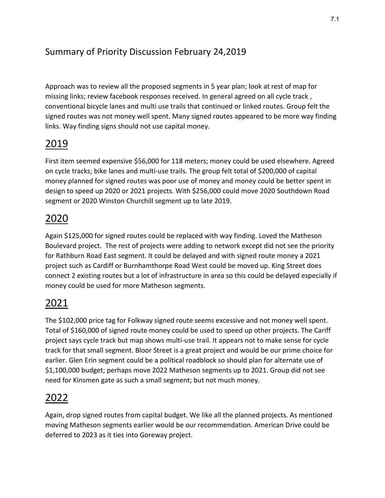# Summary of Priority Discussion February 24,2019

Approach was to review all the proposed segments in 5 year plan; look at rest of map for missing links; review facebook responses received. In general agreed on all cycle track , conventional bicycle lanes and multi use trails that continued or linked routes. Group felt the signed routes was not money well spent. Many signed routes appeared to be more way finding links. Way finding signs should not use capital money.

# 2019

First item seemed expensive \$56,000 for 118 meters; money could be used elsewhere. Agreed on cycle tracks; bike lanes and multi-use trails. The group felt total of \$200,000 of capital money planned for signed routes was poor use of money and money could be better spent in design to speed up 2020 or 2021 projects. With \$256,000 could move 2020 Southdown Road segment or 2020 Winston Churchill segment up to late 2019.

# 2020

Again \$125,000 for signed routes could be replaced with way finding. Loved the Matheson Boulevard project. The rest of projects were adding to network except did not see the priority for Rathburn Road East segment. It could be delayed and with signed route money a 2021 project such as Cardiff or Burnhamthorpe Road West could be moved up. King Street does connect 2 existing routes but a lot of infrastructure in area so this could be delayed especially if money could be used for more Matheson segments.

# 2021

The \$102,000 price tag for Folkway signed route seems excessive and not money well spent. Total of \$160,000 of signed route money could be used to speed up other projects. The Cariff project says cycle track but map shows multi-use trail. It appears not to make sense for cycle track for that small segment. Bloor Street is a great project and would be our prime choice for earlier. Glen Erin segment could be a political roadblock so should plan for alternate use of \$1,100,000 budget; perhaps move 2022 Matheson segments up to 2021. Group did not see need for Kinsmen gate as such a small segment; but not much money.

# 2022

Again, drop signed routes from capital budget. We like all the planned projects. As mentioned moving Matheson segments earlier would be our recommendation. American Drive could be deferred to 2023 as it ties into Goreway project.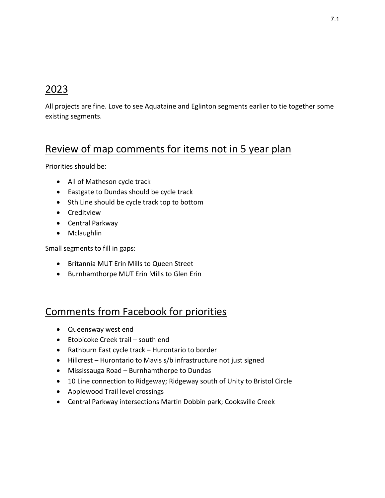# 2023

All projects are fine. Love to see Aquataine and Eglinton segments earlier to tie together some existing segments.

# Review of map comments for items not in 5 year plan

Priorities should be:

- All of Matheson cycle track
- Eastgate to Dundas should be cycle track
- 9th Line should be cycle track top to bottom
- Creditview
- Central Parkway
- Mclaughlin

Small segments to fill in gaps:

- Britannia MUT Erin Mills to Queen Street
- Burnhamthorpe MUT Erin Mills to Glen Erin

# Comments from Facebook for priorities

- Queensway west end
- Etobicoke Creek trail south end
- Rathburn East cycle track Hurontario to border
- Hillcrest Hurontario to Mavis s/b infrastructure not just signed
- Mississauga Road Burnhamthorpe to Dundas
- 10 Line connection to Ridgeway; Ridgeway south of Unity to Bristol Circle
- Applewood Trail level crossings
- Central Parkway intersections Martin Dobbin park; Cooksville Creek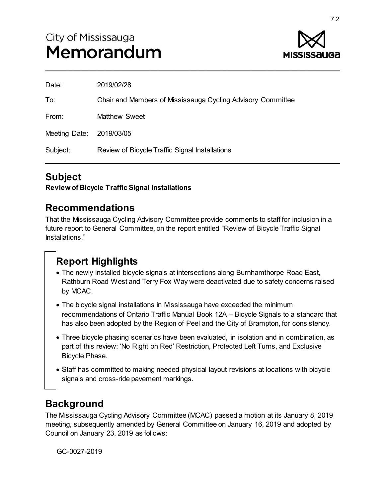

| Date:                    | 2019/02/28                                                  |
|--------------------------|-------------------------------------------------------------|
| To:                      | Chair and Members of Mississauga Cycling Advisory Committee |
| From:                    | <b>Matthew Sweet</b>                                        |
| Meeting Date: 2019/03/05 |                                                             |
| Subject:                 | Review of Bicycle Traffic Signal Installations              |
|                          |                                                             |

# **Subject**

**Review of Bicycle Traffic Signal Installations** 

## **Recommendations**

That the Mississauga Cycling Advisory Committee provide comments to staff for inclusion in a future report to General Committee, on the report entitled "Review of Bicycle Traffic Signal Installations."

# **Report Highlights**

- The newly installed bicycle signals at intersections along Burnhamthorpe Road East, Rathburn Road West and Terry Fox Way were deactivated due to safety concerns raised by MCAC.
- The bicycle signal installations in Mississauga have exceeded the minimum recommendations of Ontario Traffic Manual Book 12A – Bicycle Signals to a standard that has also been adopted by the Region of Peel and the City of Brampton, for consistency.
- Three bicycle phasing scenarios have been evaluated, in isolation and in combination, as part of this review: 'No Right on Red' Restriction, Protected Left Turns, and Exclusive Bicycle Phase.
- Staff has committed to making needed physical layout revisions at locations with bicycle signals and cross-ride pavement markings.

# **Background**

The Mississauga Cycling Advisory Committee (MCAC) passed a motion at its January 8, 2019 meeting, subsequently amended by General Committee on January 16, 2019 and adopted by Council on January 23, 2019 as follows:

GC-0027-2019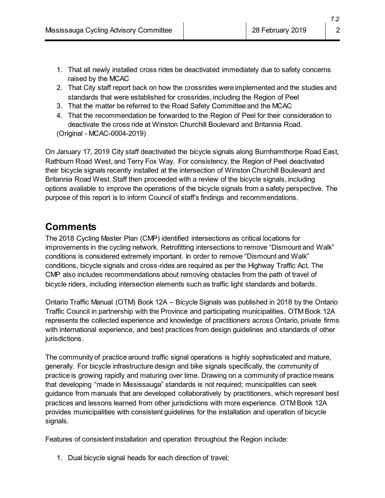- 1. That all newly installed cross rides be deactivated immediately due to safety concerns raised by the MCAC
- 2. That City staff report back on how the crossrides were implemented and the studies and standards that were established for crossrides, including the Region of Peel
- 3. That the matter be referred to the Road Safety Committee and the MCAC
- 4. That the recommendation be forwarded to the Region of Peel for their consideration to deactivate the cross ride at Winston Churchill Boulevard and Britannia Road.

(Original - MCAC-0004-2019)

On January 17, 2019 City staff deactivated the bicycle signals along Burnhamthorpe Road East, Rathburn Road West, and Terry Fox Way. For consistency, the Region of Peel deactivated their bicycle signals recently installed at the intersection of Winston Churchill Boulevard and Britannia Road West. Staff then proceeded with a review of the bicycle signals, including options available to improve the operations of the bicycle signals from a safety perspective. The purpose of this report is to inform Council of staff's findings and recommendations.

# **Comments**

The 2018 Cycling Master Plan (CMP) identified intersections as critical locations for improvements in the cycling network. Retrofitting intersections to remove "Dismount and Walk" conditions is considered extremely important. In order to remove "Dismount and Walk" conditions, bicycle signals and cross-rides are required as per the Highway Traffic Act. The CMP also includes recommendations about removing obstacles from the path of travel of bicycle riders, including intersection elements such as traffic light standards and bollards.

Ontario Traffic Manual (OTM) Book 12A – Bicycle Signals was published in 2018 by the Ontario Traffic Council in partnership with the Province and participating municipalities. OTM Book 12A represents the collected experience and knowledge of practitioners across Ontario, private firms with international experience, and best practices from design guidelines and standards of other jurisdictions.

The community of practice around traffic signal operations is highly sophisticated and mature, generally. For bicycle infrastructure design and bike signals specifically, the community of practice is growing rapidly and maturing over time. Drawing on a community of practice means that developing "made in Mississauga" standards is not required; municipalities can seek guidance from manuals that are developed collaboratively by practitioners, which represent best practices and lessons learned from other jurisdictions with more experience. OTM Book 12A provides municipalities with consistent guidelines for the installation and operation of bicycle signals.

Features of consistent installation and operation throughout the Region include:

1. Dual bicycle signal heads for each direction of travel;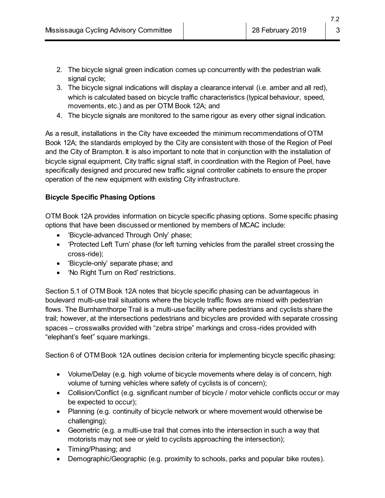- 2. The bicycle signal green indication comes up concurrently with the pedestrian walk signal cycle;
- 3. The bicycle signal indications will display a clearance interval (i.e. amber and all red), which is calculated based on bicycle traffic characteristics (typical behaviour, speed, movements, etc.) and as per OTM Book 12A; and
- 4. The bicycle signals are monitored to the same rigour as every other signal indication.

As a result, installations in the City have exceeded the minimum recommendations of OTM Book 12A; the standards employed by the City are consistent with those of the Region of Peel and the City of Brampton. It is also important to note that in conjunction with the installation of bicycle signal equipment, City traffic signal staff, in coordination with the Region of Peel, have specifically designed and procured new traffic signal controller cabinets to ensure the proper operation of the new equipment with existing City infrastructure.

### **Bicycle Specific Phasing Options**

OTM Book 12A provides information on bicycle specific phasing options. Some specific phasing options that have been discussed or mentioned by members of MCAC include:

- 'Bicycle-advanced Through Only' phase;
- 'Protected Left Turn' phase (for left turning vehicles from the parallel street crossing the cross-ride);
- 'Bicycle-only' separate phase; and
- 'No Right Turn on Red' restrictions.

Section 5.1 of OTM Book 12A notes that bicycle specific phasing can be advantageous in boulevard multi-use trail situations where the bicycle traffic flows are mixed with pedestrian flows. The Burnhamthorpe Trail is a multi-use facility where pedestrians and cyclists share the trail; however, at the intersections pedestrians and bicycles are provided with separate crossing spaces – crosswalks provided with "zebra stripe" markings and cross-rides provided with "elephant's feet" square markings.

Section 6 of OTM Book 12A outlines decision criteria for implementing bicycle specific phasing:

- Volume/Delay (e.g. high volume of bicycle movements where delay is of concern, high volume of turning vehicles where safety of cyclists is of concern);
- Collision/Conflict (e.g. significant number of bicycle / motor vehicle conflicts occur or may be expected to occur);
- Planning (e.g. continuity of bicycle network or where movement would otherwise be challenging);
- Geometric (e.g. a multi-use trail that comes into the intersection in such a way that motorists may not see or yield to cyclists approaching the intersection);
- Timing/Phasing; and
- Demographic/Geographic (e.g. proximity to schools, parks and popular bike routes).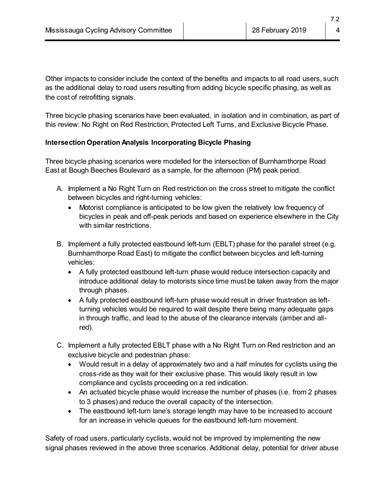Other impacts to consider include the context of the benefits and impacts to all road users, such as the additional delay to road users resulting from adding bicycle specific phasing, as well as the cost of retrofitting signals.

Three bicycle phasing scenarios have been evaluated, in isolation and in combination, as part of this review: No Right on Red Restriction, Protected Left Turns, and Exclusive Bicycle Phase.

### **Intersection Operation Analysis Incorporating Bicycle Phasing**

Three bicycle phasing scenarios were modelled for the intersection of Burnhamthorpe Road East at Bough Beeches Boulevard as a sample, for the afternoon (PM) peak period.

- A. Implement a No Right Turn on Red restriction on the cross street to mitigate the conflict between bicycles and right-turning vehicles:
	- Motorist compliance is anticipated to be low given the relatively low frequency of bicycles in peak and off-peak periods and based on experience elsewhere in the City with similar restrictions.
- B. Implement a fully protected eastbound left-turn (EBLT) phase for the parallel street (e.g. Burnhamthorpe Road East) to mitigate the conflict between bicycles and left-turning vehicles:
	- A fully protected eastbound left-turn phase would reduce intersection capacity and introduce additional delay to motorists since time must be taken away from the major through phases.
	- A fully protected eastbound left-turn phase would result in driver frustration as leftturning vehicles would be required to wait despite there being many adequate gaps in through traffic, and lead to the abuse of the clearance intervals (amber and allred).
- C. Implement a fully protected EBLT phase with a No Right Turn on Red restriction and an exclusive bicycle and pedestrian phase:
	- Would result in a delay of approximately two and a half minutes for cyclists using the cross-ride as they wait for their exclusive phase. This would likely result in low compliance and cyclists proceeding on a red indication.
	- An actuated bicycle phase would increase the number of phases (i.e. from 2 phases to 3 phases) and reduce the overall capacity of the intersection.
	- The eastbound left-turn lane's storage length may have to be increased to account for an increase in vehicle queues for the eastbound left-turn movement.

Safety of road users, particularly cyclists, would not be improved by implementing the new signal phases reviewed in the above three scenarios. Additional delay, potential for driver abuse